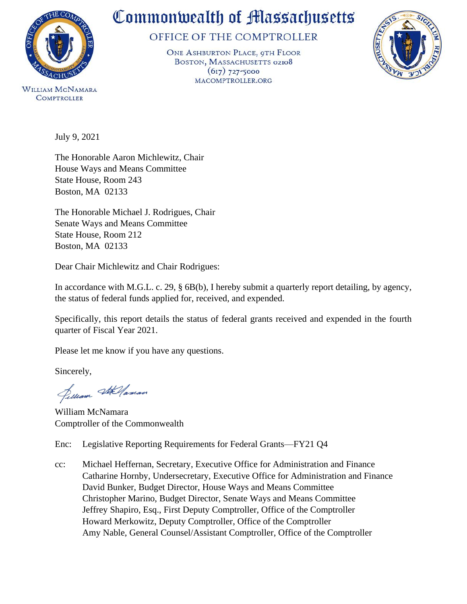

**COMPTROLLER** 

## Commonwealth of Massachusetts

OFFICE OF THE COMPTROLLER

ONE ASHBURTON PLACE, 9TH FLOOR BOSTON, MASSACHUSETTS 02108  $(617)$  727-5000 MACOMPTROLLER.ORG



July 9, 2021

The Honorable Aaron Michlewitz, Chair House Ways and Means Committee State House, Room 243 Boston, MA 02133

The Honorable Michael J. Rodrigues, Chair Senate Ways and Means Committee State House, Room 212 Boston, MA 02133

Dear Chair Michlewitz and Chair Rodrigues:

In accordance with M.G.L. c. 29, § 6B(b), I hereby submit a quarterly report detailing, by agency, the status of federal funds applied for, received, and expended.

Specifically, this report details the status of federal grants received and expended in the fourth quarter of Fiscal Year 2021.

Please let me know if you have any questions.

Sincerely,

Jelliam Stellaman

William McNamara Comptroller of the Commonwealth

Enc: Legislative Reporting Requirements for Federal Grants—FY21 Q4

cc: Michael Heffernan, Secretary, Executive Office for Administration and Finance Catharine Hornby, Undersecretary, Executive Office for Administration and Finance David Bunker, Budget Director, House Ways and Means Committee Christopher Marino, Budget Director, Senate Ways and Means Committee Jeffrey Shapiro, Esq., First Deputy Comptroller, Office of the Comptroller Howard Merkowitz, Deputy Comptroller, Office of the Comptroller Amy Nable, General Counsel/Assistant Comptroller, Office of the Comptroller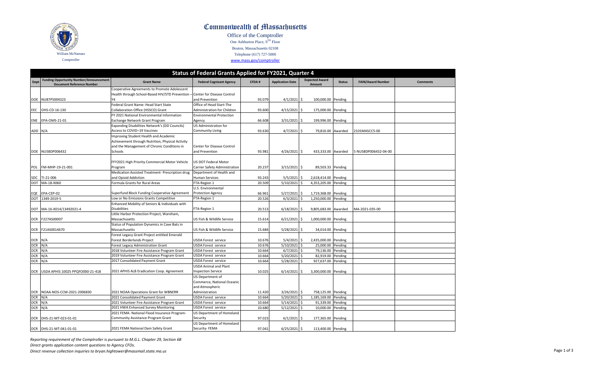

## Commonwealth of Massachusetts

Office of the Comptroller One Ashburton Place,  $9^{\overline{TH}}$  Floor

Boston, Massachusetts 02108 Telephone (617) 727-5000

[www.mass.](http://www.mass.gov/comptroller)gov/comptroller

|             | Status of Federal Grants Applied for FY2021, Quarter 4                             |                                                                             |                                                            |        |                         |                                        |               |                          |                 |
|-------------|------------------------------------------------------------------------------------|-----------------------------------------------------------------------------|------------------------------------------------------------|--------|-------------------------|----------------------------------------|---------------|--------------------------|-----------------|
| <b>Dept</b> | <b>Funding Opportunity Number/Announcement</b><br><b>Document Reference Number</b> | <b>Grant Name</b>                                                           | <b>Federal Cognizant Agency</b>                            | CFDA#  | <b>Application Date</b> | <b>Expected Award</b><br><b>Amount</b> | <b>Status</b> | <b>FAIN/Award Number</b> | <b>Comments</b> |
|             |                                                                                    | Cooperative Agreements to Promote Adolescent                                |                                                            |        |                         |                                        |               |                          |                 |
|             |                                                                                    | Health through School-Based HIV/STD Prevention - Center for Disease Control |                                                            |        |                         |                                        |               |                          |                 |
|             | DOE NU87PS004323                                                                   | Υ4                                                                          | and Prevention                                             | 93.079 | 4/1/2021                | \$<br>100,000.00 Pending               |               |                          |                 |
|             |                                                                                    | Federal Grant Name: Head Start State                                        | Office of Head Start-The                                   |        |                         |                                        |               |                          |                 |
| EEC         | OHS-CD-16-130                                                                      | Collaboration Office (HSSCO) Grant                                          | Administration for Children                                | 93.600 | 4/15/2021               | Ŝ.<br>175,000.00 Pending               |               |                          |                 |
|             |                                                                                    | FY 2021 National Environmental Information                                  | <b>Environmental Protection</b>                            |        |                         |                                        |               |                          |                 |
|             | ENE EPA-OMS-21-01                                                                  | Exchange Network Grant Program                                              | Agency                                                     | 66.608 | 3/31/2021               | Ŝ.<br>199,996.00 Pending               |               |                          |                 |
|             |                                                                                    | Expanding Disabilities Network's (DD Councils)                              | US Administration for                                      |        |                         |                                        |               |                          |                 |
| ADD         | N/A                                                                                | Access to COVID-19 Vaccines                                                 | <b>Community Living</b>                                    | 93.630 | 4/7/2021                | \$<br>79,816.00 Awarded                |               | 2101MASCC5-00            |                 |
|             |                                                                                    | Improving Student Health and Academic                                       |                                                            |        |                         |                                        |               |                          |                 |
|             |                                                                                    | Achievement through Nutrition, Physical Activity                            |                                                            |        |                         |                                        |               |                          |                 |
|             |                                                                                    | and the Management of Chronic Conditions in                                 | Center for Disease Control                                 |        |                         |                                        |               |                          |                 |
|             | DOE NU58DP006432                                                                   | Schools                                                                     | and Prevention                                             | 93.981 | 4/26/2021               | 433,333.00 Awarded<br>S.               |               | 5 NU58DP006432-04-00     |                 |
|             |                                                                                    |                                                                             |                                                            |        |                         |                                        |               |                          |                 |
|             |                                                                                    | FFY2021 High Priority Commercial Motor Vehicle                              | US DOT Federal Motor                                       |        |                         |                                        |               |                          |                 |
| POL         | FM-MHP-19-21-001                                                                   | Program                                                                     | Carrier Safety Administration                              | 20.237 | 3/15/2021               | \$<br>89,503.33 Pending                |               |                          |                 |
|             |                                                                                    | Medication Assisted Treatment- Prescription drug                            | Department of Health and                                   |        |                         |                                        |               |                          |                 |
| <b>SDC</b>  | TI-21-006                                                                          | and Opioid Addiction                                                        | <b>Human Services</b>                                      | 93.243 | 5/5/2021                | 2,618,414.00 Pending<br>Ŝ              |               |                          |                 |
| <b>DOT</b>  | MA-18-X060                                                                         | Formula Grants for Rural Areas                                              | FTA-Region 1                                               | 20.509 | 5/10/2021               | 4,353,205.00 Pending<br>Ŝ              |               |                          |                 |
|             |                                                                                    |                                                                             | U.S. Environmental                                         |        |                         |                                        |               |                          |                 |
| EQE         | EPA-CEP-02                                                                         | Superfund Block Funding Cooperative Agreement                               | <b>Protection Agency</b>                                   | 66.961 | 5/27/2021               | Ŝ.<br>1,719,368.00 Pending             |               |                          |                 |
| <b>DOT</b>  | 1349-2019-5                                                                        | Low or No Emissions Grants Competitive                                      | FTA-Region 1                                               | 20.526 | 6/3/2021                | Ś<br>1,250,000.00 Pending              |               |                          |                 |
|             |                                                                                    | Enhanced Mobility of Seniors & Individuals with                             |                                                            |        |                         |                                        |               |                          |                 |
| DOT         | MA-16-X014/13492021-4                                                              | <b>Disabilities</b>                                                         | FTA-Region 1                                               | 20.513 | 6/18/2021               | 9,805,683.00 Awarded                   |               | MA-2021-035-00           |                 |
|             |                                                                                    | Little Harbor Protection Project, Wareham,                                  |                                                            |        |                         |                                        |               |                          |                 |
|             | DCR F227AS00007                                                                    | Massachusetts                                                               | US Fish & Wildlife Service                                 | 15.614 | 6/21/2021               | 1,000,000.00 Pending<br>\$             |               |                          |                 |
|             |                                                                                    | Status of Population Dynamics in Cave Bats in                               |                                                            |        |                         |                                        |               |                          |                 |
| <b>DCR</b>  | F21AS0014670                                                                       | Massachusetts                                                               | US Fish & Wildlife Service                                 | 15.684 | 5/28/2021               | Ŝ.<br>34,014.00 Pending                |               |                          |                 |
|             |                                                                                    | Forest Legacy Grant Project entitled Emerald                                |                                                            |        |                         |                                        |               |                          |                 |
| <b>DCR</b>  | N/A                                                                                | Forest Borderlands Project                                                  | USDA Forest service                                        | 10.676 | 5/4/2021                | 2,435,000.00 Pending<br>Ŝ.             |               |                          |                 |
| <b>DCR</b>  | N/A                                                                                | Forest Legacy Administration Grant                                          | USDA Forest service                                        | 10.676 | 5/10/2021               | 25,000.00 Pending<br>\$                |               |                          |                 |
| <b>DCR</b>  | N/A                                                                                | 2018 Volunteer Fire Assistance Program Grant                                | USDA Forest service                                        | 10.664 | 6/7/2021                | \$<br>79,136.00                        | Pending       |                          |                 |
| <b>DCR</b>  | N/A                                                                                | 2019 Volunteer Fire Assistance Program Grant                                | USDA Forest service                                        | 10.664 | 5/20/2021               | \$<br>82,919.00                        | Pending       |                          |                 |
| <b>DCR</b>  | N/A                                                                                | 2017 Consolidated Payment Grant                                             | <b>USDA Forest service</b><br><b>USDA Animal and Plant</b> | 10.664 | 5/28/2021               | \$<br>927,637.00                       | Pending       |                          |                 |
| <b>DCR</b>  | USDA APHIS 10025 PPQFO000-21-418                                                   |                                                                             |                                                            | 10.025 | 6/14/2021               | 3,300,000.00 Pending<br>\$             |               |                          |                 |
|             |                                                                                    | 2021 APHIS ALB Eradication Coop. Agreement                                  | <b>Inspection Service</b><br>US Department of              |        |                         |                                        |               |                          |                 |
|             |                                                                                    |                                                                             |                                                            |        |                         |                                        |               |                          |                 |
|             |                                                                                    |                                                                             | Commerce, National Oceanic<br>and Atmospheric              |        |                         |                                        |               |                          |                 |
| <b>DCR</b>  | NOAA-NOS-CCM-2021-2006830                                                          | 2021 NOAA Operations Grant for WBNERR                                       | Administration                                             | 11.420 | 3/26/2021               | Ŝ.<br>758,125.00 Pending               |               |                          |                 |
| <b>DCR</b>  | N/A                                                                                | 2021 Consolidated Payment Grant                                             | USDA Forest service                                        | 10.664 | $5/20/2021$ \$          | 1,185,169.00 Pending                   |               |                          |                 |
| <b>DCR</b>  | N/A                                                                                | 2021 Volunteer Fire Assistance Program Grant                                | USDA Forest service                                        | 10.664 | $5/14/2021$ \$          | 91,339.00 Pending                      |               |                          |                 |
| DCR N/A     |                                                                                    | 2021 HWA Enhanced Survey Monitoring                                         | USDA Forest service                                        | 10.680 | $5/12/2021$ \$          | 10,000.00 Pending                      |               |                          |                 |
|             |                                                                                    | 2021 FEMA- National Flood Insurance Program-                                | US Department of Homeland                                  |        |                         |                                        |               |                          |                 |
|             | DCR DHS-21-MT-023-01-01                                                            | Community Assistance Program Grant                                          | Security                                                   | 97.023 | 6/1/2021                | \$<br>177,365.00 Pending               |               |                          |                 |
|             |                                                                                    |                                                                             | US Department of Homeland                                  |        |                         |                                        |               |                          |                 |
|             | DCR DHS-21-MT-041-01-01                                                            | 2021 FEMA National Dam Safety Grant                                         | Security- FEMA                                             | 97.041 | $6/25/2021$ \$          | 113,400.00 Pending                     |               |                          |                 |
|             |                                                                                    |                                                                             |                                                            |        |                         |                                        |               |                          |                 |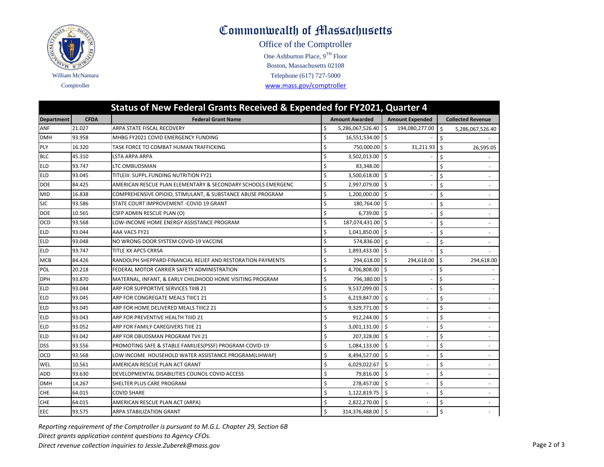

## Commonwealth of Massachusetts

One Ashburton Place, 9TH Floor Office of the Comptroller Comptroller [www.mass.gov/com](http://www.mass.gov/comptroller)ptroller Telephone (617) 727-5000 Boston, Massachusetts 02108

| Status of New Federal Grants Received & Expended for FY2021, Quarter 4 |             |                                                              |    |                       |                    |                        |              |                          |
|------------------------------------------------------------------------|-------------|--------------------------------------------------------------|----|-----------------------|--------------------|------------------------|--------------|--------------------------|
| <b>Department</b>                                                      | <b>CFDA</b> | <b>Federal Grant Name</b>                                    |    | <b>Amount Awarded</b> |                    | <b>Amount Expended</b> |              | <b>Collected Revenue</b> |
| ANF                                                                    | 21.027      | ARPA STATE FISCAL RECOVERY                                   | \$ | 5,286,067,526.40 \$   |                    | 194,080,277.00         | Ŝ.           | 5,286,067,526.40         |
| <b>DMH</b>                                                             | 93.958      | MHBG FY2021 COVID EMERGENCY FUNDING                          | \$ | 16,551,534.00 \$      |                    |                        | \$           |                          |
| PLY                                                                    | 16.320      | TASK FORCE TO COMBAT HUMAN TRAFFICKING                       | \$ | 750,000.00 \$         |                    | 31,211.93              | $\mathsf{S}$ | 26,595.05                |
| <b>BLC</b>                                                             | 45.310      | LSTA ARPA ARPA                                               | \$ | 3,502,013.00 \$       |                    |                        | \$           |                          |
| <b>ELD</b>                                                             | 93.747      | LTC OMBUDSMAN                                                | \$ | 83,348.00             |                    |                        | \$           | $\sim$                   |
| <b>ELD</b>                                                             | 93.045      | TITLEIII: SUPPL.FUNDING NUTRITION FY21                       | \$ | 3,500,618.00 \$       |                    |                        | Ś            |                          |
| <b>DOE</b>                                                             | 84.425      | AMERICAN RESCUE PLAN ELEMENTARY & SECONDARY SCHOOLS EMERGENC | \$ | 2,997,079.00          | I\$                |                        | Ś            |                          |
| <b>MID</b>                                                             | 16.838      | COMPREHENSIVE OPIOID, STIMULANT, & SUBSTANCE ABUSE PROGRAM   | \$ | 1,200,000.00 \$       |                    |                        | \$           |                          |
| <b>SJC</b>                                                             | 93.586      | STATE COURT IMPROVEMENT - COVID 19 GRANT                     | \$ | 180,764.00 \$         |                    |                        | Ś            | $\overline{\phantom{a}}$ |
| <b>DOE</b>                                                             | 10.565      | CSFP ADMIN RESCUE PLAN (O)                                   | \$ | $6,739.00$ \$         |                    |                        | \$           |                          |
| OCD                                                                    | 93.568      | LOW-INCOME HOME ENERGY ASSISTANCE PROGRAM                    | \$ | 187,074,431.00 \$     |                    |                        | Ś            |                          |
| <b>ELD</b>                                                             | 93.044      | AAA VAC5 FY21                                                | Ś  | 1,041,850.00 \$       |                    |                        | \$           |                          |
| <b>ELD</b>                                                             | 93.048      | NO WRONG DOOR SYSTEM COVID-19 VACCINE                        | Ś  | 574,836.00 \$         |                    |                        | Ś            |                          |
| <b>ELD</b>                                                             | 93.747      | TITLE XX APC5 CRRSA                                          | Ś  | 1,893,433.00 \$       |                    |                        | \$           |                          |
| <b>MCB</b>                                                             | 84.426      | RANDOLPH SHEPPARD-FINANCIAL RELIEF AND RESTORATION PAYMENTS  | Ś  | 294.618.00 \$         |                    | 294,618.00             | Ŝ.           | 294,618.00               |
| POL                                                                    | 20.218      | FEDERAL MOTOR CARRIER SAFETY ADMINISTRATION                  | \$ | 4,706,808.00          | I\$                |                        | \$           |                          |
| <b>DPH</b>                                                             | 93.870      | MATERNAL, INFANT, & EARLY CHILDHOOD HOME VISITING PROGRAM    | \$ | 796,380.00 \$         |                    |                        | Ś.           |                          |
| ELD                                                                    | 93.044      | ARP FOR SUPPORTIVE SERVICES TIIIB 21                         | \$ | 9,537,099.00          | Is.                |                        | Ś            |                          |
| <b>ELD</b>                                                             | 93.045      | ARP FOR CONGREGATE MEALS TIIIC1 21                           | \$ | 6,219,847.00          | Ŝ.                 |                        | \$           |                          |
| <b>ELD</b>                                                             | 93.045      | ARP FOR HOME DELIVERED MEALS TIIIC2 21                       | \$ | 9,329,771.00          | Ŝ.                 |                        | \$           |                          |
| <b>ELD</b>                                                             | 93.043      | ARP FOR PREVENTIVE HEALTH TIIID 21                           | \$ | 912,244.00            | \$                 |                        | \$           | $\overline{\phantom{a}}$ |
| <b>ELD</b>                                                             | 93.052      | ARP FOR FAMILY CAREGIVERS TIIIE 21                           | \$ | 3,001,131.00          | Ŝ.                 |                        | \$           |                          |
| <b>ELD</b>                                                             | 93.042      | ARP FOR OBUDSMAN PROGRAM TVII 21                             | \$ | 207,328.00            | Ŝ.                 |                        | \$           |                          |
| <b>DSS</b>                                                             | 93.556      | PROMOTING SAFE & STABLE FAMILIES(PSSF) PROGRAM-COVID-19      | \$ | 1,084,133.00          | Ŝ.                 |                        | \$           |                          |
| OCD                                                                    | 93.568      | LOW INCOME HOUSEHOLD WATER ASSISTANCE PROGRAM(LIHWAP)        | \$ | 8,494,527.00          | \$.                |                        | \$           | $\overline{\phantom{a}}$ |
| WEL                                                                    | 10.561      | AMERICAN RESCUE PLAN ACT GRANT                               | \$ | 6,029,022.67          | Ŝ.                 |                        | Ś            | $\sim$                   |
| ADD                                                                    | 93.630      | DEVELOPMENTAL DISABILITIES COUNCIL COVID ACCESS              | \$ | 79,816.00             | Ŝ.                 |                        | \$           |                          |
| <b>DMH</b>                                                             | 14.267      | SHELTER PLUS CARE PROGRAM                                    | \$ | 278,457.00            | $\mathsf{\hat{S}}$ |                        | Ś            |                          |
| <b>CHE</b>                                                             | 64.015      | <b>COVID SHARE</b>                                           | \$ | 1,122,819.75          | \$                 |                        | Ś            |                          |
| <b>CHE</b>                                                             | 64.015      | AMERICAN RESCUE PLAN ACT (ARPA)                              | \$ | 2,822,270.00          | Ŝ.                 |                        | \$           | $\sim$                   |
| EEC                                                                    | 93.575      | ARPA STABILIZATION GRANT                                     | Ś  | 314,376,488.00        | ۱Ś.                |                        | \$           |                          |

*Reporting requirement of the Comptroller is pursuant to M.G.L. Chapter 29, Section 6B Direct grants application content questions to Agency CFOs. Direct revenue collection inquiries to Jessie.Zuberek@mass.gov* Page 2 of 3